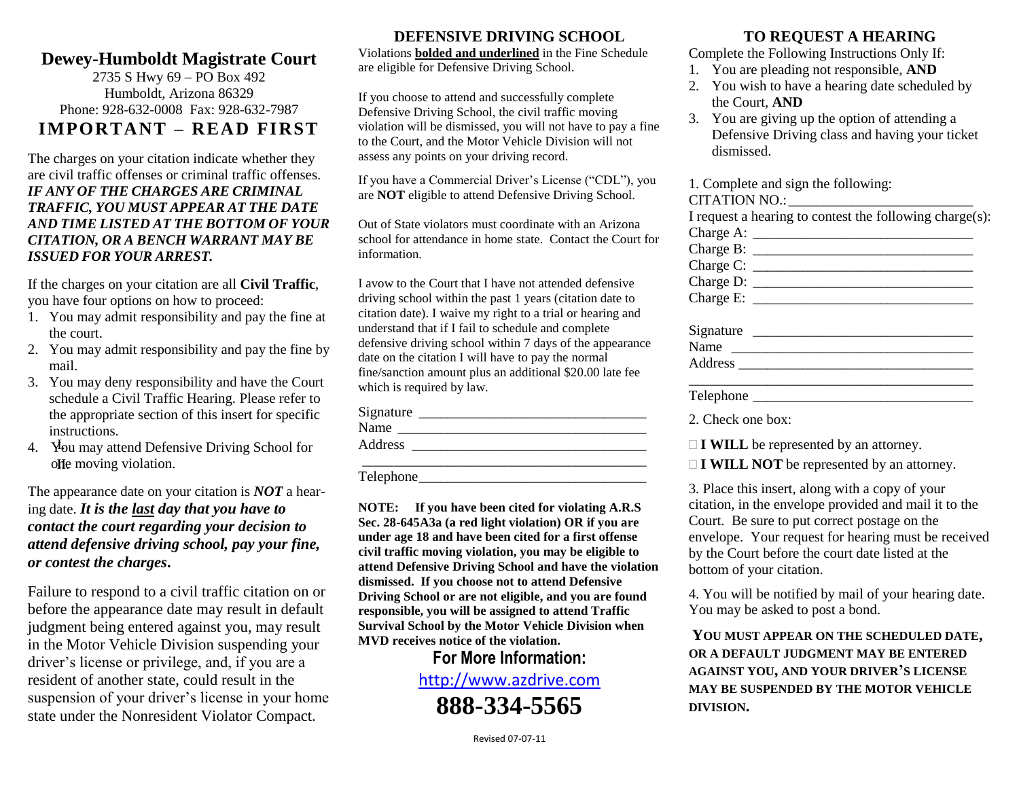### **Dewey-Humboldt Magistrate Court**

2735 S Hwy 69 – PO Box 492 Humboldt, Arizona 86329 Phone: 928-632-0008 Fax: 928-632-7987 **IMPORTANT – READ FIRST**

The charges on your citation indicate whether they are civil traffic offenses or criminal traffic offenses. *IF ANY OF THE CHARGES ARE CRIMINAL TRAFFIC, YOU MUST APPEAR AT THE DATE AND TIME LISTED AT THE BOTTOM OF YOUR CITATION, OR A BENCH WARRANT MAY BE ISSUED FOR YOUR ARREST.*

If the charges on your citation are all **Civil Traffic**, you have four options on how to proceed:

- 1. You may admit responsibility and pay the fine at the court.
- 2. You may admit responsibility and pay the fine by mail.
- 3. You may deny responsibility and have the Court schedule a Civil Traffic Hearing. Please refer to the appropriate section of this insert for specific instructions.
- olle moving violation.

The appearance date on your citation is *NOT* a hearing date. *It is the last day that you have to contact the court regarding your decision to attend defensive driving school, pay your fine, or contest the charges***.**

Failure to respond to a civil traffic citation on or before the appearance date may result in default judgment being entered against you, may result in the Motor Vehicle Division suspending your driver's license or privilege, and, if you are a resident of another state, could result in the suspension of your driver's license in your home state under the Nonresident Violator Compact.

#### **DEFENSIVE DRIVING SCHOOL**

Violations **bolded and underlined** in the Fine Schedule are eligible for Defensive Driving School.

If you choose to attend and successfully complete Defensive Driving School, the civil traffic moving violation will be dismissed, you will not have to pay a fine to the Court, and the Motor Vehicle Division will not assess any points on your driving record.

If you have a Commercial Driver's License ("CDL"), you are **NOT** eligible to attend Defensive Driving School.

Out of State violators must coordinate with an Arizona school for attendance in home state. Contact the Court for information.

I avow to the Court that I have not attended defensive driving school within the past 1 years (citation date to citation date). I waive my right to a trial or hearing and understand that if I fail to schedule and complete defensive driving school within 7 days of the appearance date on the citation I will have to pay the normal fine/sanction amount plus an additional \$20.00 late fee which is required by law.

| instructions.          | the appropriate section of this insert for specific         | Signature<br>Name | 2. Check one box:                                    |
|------------------------|-------------------------------------------------------------|-------------------|------------------------------------------------------|
|                        | <b>Property</b> Mou may attend Defensive Driving School for | Address           | $\Box$ <b>I WILL</b> be represented by an attorney.  |
| offe moving violation. |                                                             |                   | $\exists$ <b>I WILL NOT</b> be represented by an att |

Telephone

**NOTE: If you have been cited for violating A.R.S Sec. 28-645A3a (a red light violation) OR if you are under age 18 and have been cited for a first offense civil traffic moving violation, you may be eligible to attend Defensive Driving School and have the violation dismissed. If you choose not to attend Defensive Driving School or are not eligible, and you are found responsible, you will be assigned to attend Traffic Survival School by the Motor Vehicle Division when MVD receives notice of the violation.**

# **For More Information:**

[http://www.azdrive.com](http://www.azdrive.com/)  **888-334-5565**

#### **TO REQUEST A HEARING**

Complete the Following Instructions Only If:

- 1. You are pleading not responsible, **AND**
- 2. You wish to have a hearing date scheduled by the Court, **AND**
- 3. You are giving up the option of attending a Defensive Driving class and having your ticket dismissed.

1. Complete and sign the following:

#### CITATION NO ·

|           | I request a hearing to contest the following charge(s):      |
|-----------|--------------------------------------------------------------|
|           |                                                              |
|           | Charge B: $\frac{1}{\sqrt{1-\frac{1}{2}} \cdot \frac{1}{2}}$ |
|           |                                                              |
|           | Charge D:                                                    |
|           | Charge E: $\frac{1}{2}$                                      |
| Signature |                                                              |
|           |                                                              |
| Address   |                                                              |
|           |                                                              |

Telephone  $\Box$ 

□ **I WILL NOT** be represented by an attorney.

3. Place this insert, along with a copy of your citation, in the envelope provided and mail it to the Court. Be sure to put correct postage on the envelope. Your request for hearing must be received by the Court before the court date listed at the bottom of your citation.

4. You will be notified by mail of your hearing date. You may be asked to post a bond.

**YOU MUST APPEAR ON THE SCHEDULED DATE, OR A DEFAULT JUDGMENT MAY BE ENTERED AGAINST YOU, AND YOUR DRIVER'S LICENSE MAY BE SUSPENDED BY THE MOTOR VEHICLE DIVISION.**